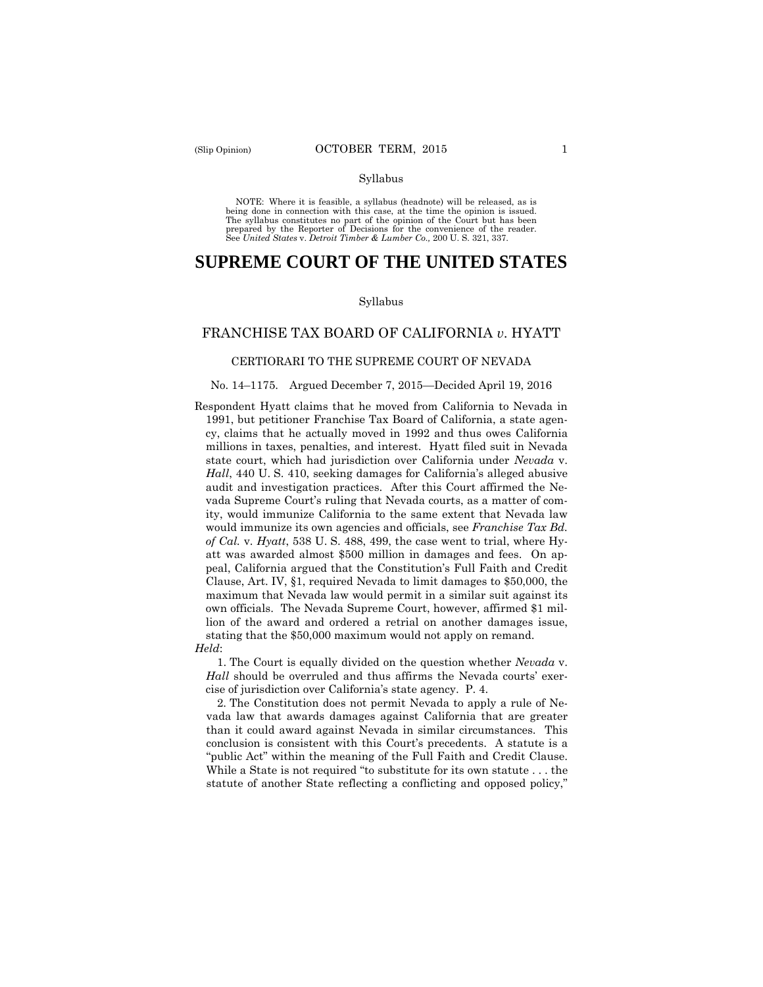#### Syllabus

 NOTE: Where it is feasible, a syllabus (headnote) will be released, as is being done in connection with this case, at the time the opinion is issued. The syllabus constitutes no part of the opinion of the Court but has been<br>prepared by the Reporter of Decisions for the convenience of the reader.<br>See United States v. Detroit Timber & Lumber Co., 200 U.S. 321, 337.

# **SUPREME COURT OF THE UNITED STATES**

#### Syllabus

## FRANCHISE TAX BOARD OF CALIFORNIA *v*. HYATT

### CERTIORARI TO THE SUPREME COURT OF NEVADA

### No. 14–1175. Argued December 7, 2015—Decided April 19, 2016

Respondent Hyatt claims that he moved from California to Nevada in 1991, but petitioner Franchise Tax Board of California, a state agency, claims that he actually moved in 1992 and thus owes California millions in taxes, penalties, and interest. Hyatt filed suit in Nevada state court, which had jurisdiction over California under *Nevada* v. *Hall*, 440 U. S. 410, seeking damages for California's alleged abusive audit and investigation practices. After this Court affirmed the Nevada Supreme Court's ruling that Nevada courts, as a matter of comity, would immunize California to the same extent that Nevada law would immunize its own agencies and officials, see *Franchise Tax Bd. of Cal.* v. *Hyatt*, 538 U. S. 488, 499, the case went to trial, where Hyatt was awarded almost \$500 million in damages and fees. On appeal, California argued that the Constitution's Full Faith and Credit Clause, Art. IV, §1, required Nevada to limit damages to \$50,000, the maximum that Nevada law would permit in a similar suit against its own officials. The Nevada Supreme Court, however, affirmed \$1 million of the award and ordered a retrial on another damages issue, stating that the \$50,000 maximum would not apply on remand. *Held*:

1. The Court is equally divided on the question whether *Nevada* v. *Hall* should be overruled and thus affirms the Nevada courts' exercise of jurisdiction over California's state agency. P. 4.

2. The Constitution does not permit Nevada to apply a rule of Nevada law that awards damages against California that are greater than it could award against Nevada in similar circumstances. This conclusion is consistent with this Court's precedents. A statute is a "public Act" within the meaning of the Full Faith and Credit Clause. While a State is not required "to substitute for its own statute . . . the statute of another State reflecting a conflicting and opposed policy,"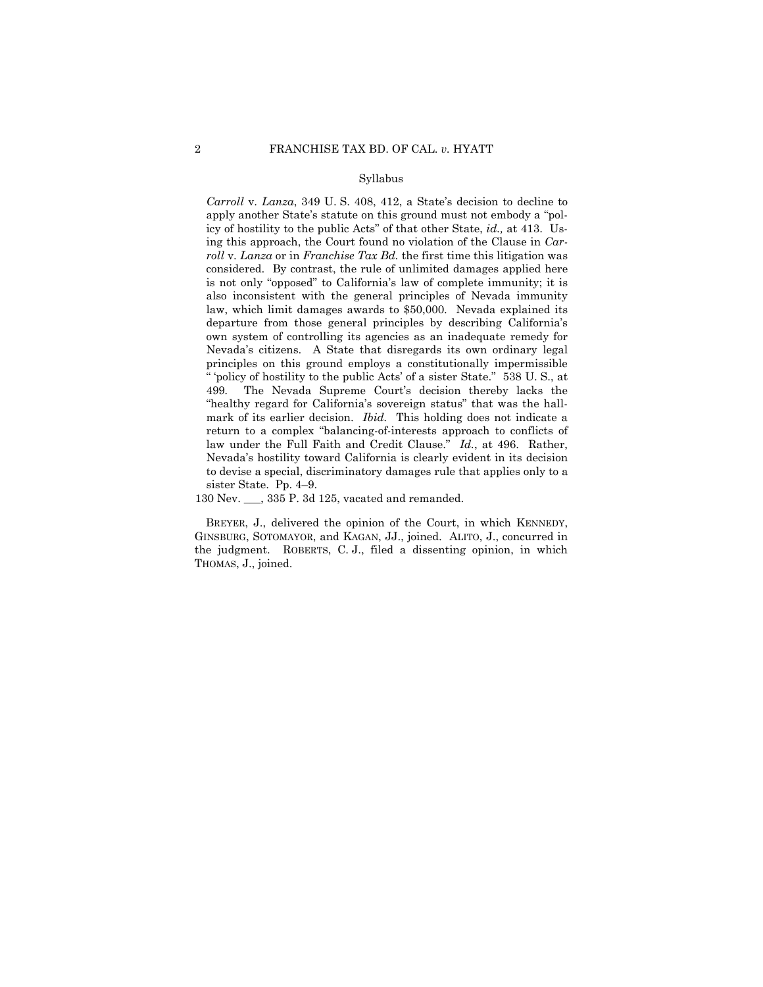#### Syllabus

 " 'policy of hostility to the public Acts' of a sister State." 538 U. S., at "healthy regard for California's sovereign status" that was the hall-*Carroll* v. *Lanza*, 349 U. S. 408, 412, a State's decision to decline to apply another State's statute on this ground must not embody a "policy of hostility to the public Acts" of that other State, *id.,* at 413. Using this approach, the Court found no violation of the Clause in *Carroll* v. *Lanza* or in *Franchise Tax Bd.* the first time this litigation was considered. By contrast, the rule of unlimited damages applied here is not only "opposed" to California's law of complete immunity; it is also inconsistent with the general principles of Nevada immunity law, which limit damages awards to \$50,000. Nevada explained its departure from those general principles by describing California's own system of controlling its agencies as an inadequate remedy for Nevada's citizens. A State that disregards its own ordinary legal principles on this ground employs a constitutionally impermissible 499*.* The Nevada Supreme Court's decision thereby lacks the mark of its earlier decision. *Ibid.* This holding does not indicate a return to a complex "balancing-of-interests approach to conflicts of law under the Full Faith and Credit Clause." *Id.*, at 496. Rather, Nevada's hostility toward California is clearly evident in its decision to devise a special, discriminatory damages rule that applies only to a sister State. Pp. 4–9.

130 Nev. \_\_\_, 335 P. 3d 125, vacated and remanded.

BREYER, J., delivered the opinion of the Court, in which KENNEDY, GINSBURG, SOTOMAYOR, and KAGAN, JJ., joined. ALITO, J., concurred in the judgment. ROBERTS, C. J., filed a dissenting opinion, in which THOMAS, J., joined.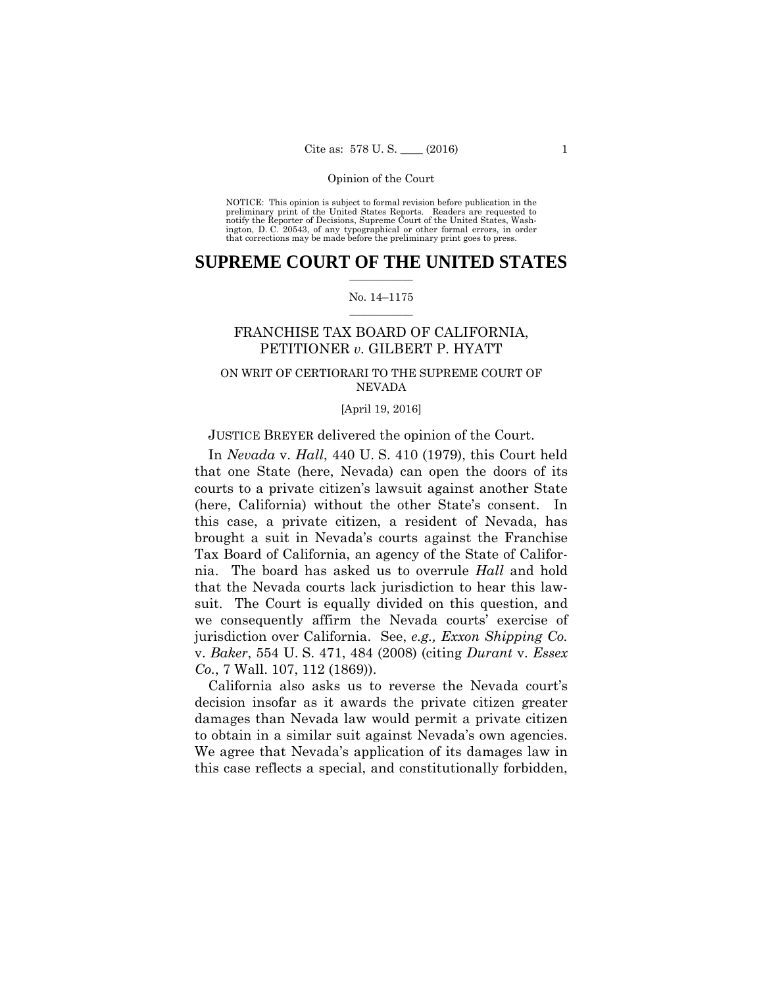preliminary print of the United States Reports. Readers are requested to notify the Reporter of Decisions, Supreme Court of the United States, Wash- ington, D. C. 20543, of any typographical or other formal errors, in order that corrections may be made before the preliminary print goes to press. NOTICE: This opinion is subject to formal revision before publication in the

## $\frac{1}{2}$  ,  $\frac{1}{2}$  ,  $\frac{1}{2}$  ,  $\frac{1}{2}$  ,  $\frac{1}{2}$  ,  $\frac{1}{2}$  ,  $\frac{1}{2}$ **SUPREME COURT OF THE UNITED STATES**

## $\frac{1}{2}$  ,  $\frac{1}{2}$  ,  $\frac{1}{2}$  ,  $\frac{1}{2}$  ,  $\frac{1}{2}$  ,  $\frac{1}{2}$ No. 14–1175

## FRANCHISE TAX BOARD OF CALIFORNIA, PETITIONER *v.* GILBERT P. HYATT

## ON WRIT OF CERTIORARI TO THE SUPREME COURT OF NEVADA

## [April 19, 2016]

## JUSTICE BREYER delivered the opinion of the Court.

In *Nevada* v. *Hall*, 440 U. S. 410 (1979), this Court held that one State (here, Nevada) can open the doors of its courts to a private citizen's lawsuit against another State (here, California) without the other State's consent. In this case, a private citizen, a resident of Nevada, has brought a suit in Nevada's courts against the Franchise Tax Board of California, an agency of the State of California. The board has asked us to overrule *Hall* and hold that the Nevada courts lack jurisdiction to hear this lawsuit. The Court is equally divided on this question, and we consequently affirm the Nevada courts' exercise of jurisdiction over California. See, *e.g., Exxon Shipping Co.*  v. *Baker*, 554 U. S. 471, 484 (2008) (citing *Durant* v. *Essex Co.*, 7 Wall. 107, 112 (1869)).

California also asks us to reverse the Nevada court's decision insofar as it awards the private citizen greater damages than Nevada law would permit a private citizen to obtain in a similar suit against Nevada's own agencies. We agree that Nevada's application of its damages law in this case reflects a special, and constitutionally forbidden,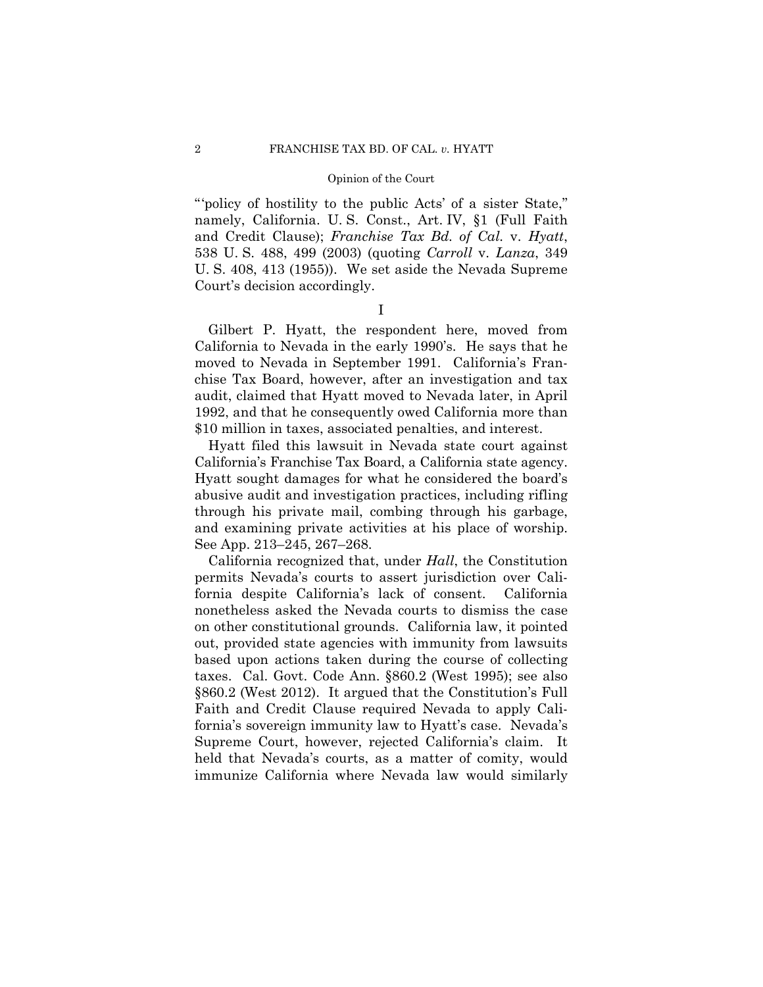"'policy of hostility to the public Acts' of a sister State," namely, California. U. S. Const., Art. IV, §1 (Full Faith and Credit Clause); *Franchise Tax Bd. of Cal.* v. *Hyatt*, 538 U. S. 488, 499 (2003) (quoting *Carroll* v. *Lanza*, 349 U. S. 408, 413 (1955)). We set aside the Nevada Supreme Court's decision accordingly.

I

Gilbert P. Hyatt, the respondent here, moved from California to Nevada in the early 1990's. He says that he moved to Nevada in September 1991. California's Franchise Tax Board, however, after an investigation and tax audit, claimed that Hyatt moved to Nevada later, in April 1992, and that he consequently owed California more than \$10 million in taxes, associated penalties, and interest.

 California's Franchise Tax Board, a California state agency. Hyatt filed this lawsuit in Nevada state court against Hyatt sought damages for what he considered the board's abusive audit and investigation practices, including rifling through his private mail, combing through his garbage, and examining private activities at his place of worship. See App. 213–245, 267–268.

California recognized that, under *Hall*, the Constitution permits Nevada's courts to assert jurisdiction over California despite California's lack of consent. California nonetheless asked the Nevada courts to dismiss the case on other constitutional grounds. California law, it pointed out, provided state agencies with immunity from lawsuits based upon actions taken during the course of collecting taxes. Cal. Govt. Code Ann. §860.2 (West 1995); see also §860.2 (West 2012). It argued that the Constitution's Full Faith and Credit Clause required Nevada to apply California's sovereign immunity law to Hyatt's case. Nevada's Supreme Court, however, rejected California's claim. It held that Nevada's courts, as a matter of comity, would immunize California where Nevada law would similarly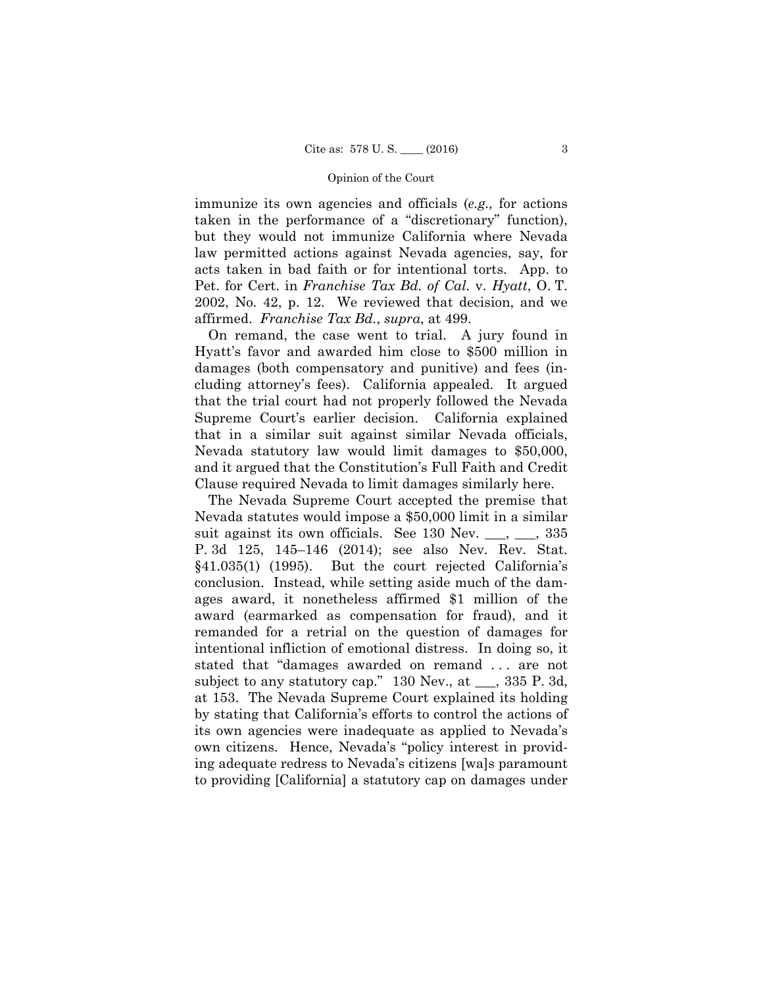immunize its own agencies and officials (*e.g.,* for actions taken in the performance of a "discretionary" function), but they would not immunize California where Nevada law permitted actions against Nevada agencies, say, for acts taken in bad faith or for intentional torts. App. to Pet. for Cert. in *Franchise Tax Bd. of Cal.* v. *Hyatt*, O. T. 2002, No. 42, p. 12. We reviewed that decision, and we affirmed. *Franchise Tax Bd.*, *supra*, at 499.

On remand, the case went to trial. A jury found in Hyatt's favor and awarded him close to \$500 million in damages (both compensatory and punitive) and fees (including attorney's fees). California appealed. It argued that the trial court had not properly followed the Nevada Supreme Court's earlier decision. California explained that in a similar suit against similar Nevada officials, Nevada statutory law would limit damages to \$50,000, and it argued that the Constitution's Full Faith and Credit Clause required Nevada to limit damages similarly here.

The Nevada Supreme Court accepted the premise that Nevada statutes would impose a \$50,000 limit in a similar suit against its own officials. See 130 Nev.  $\_\_\_\_$ ,  $\_\_\_$  335 P. 3d 125, 145–146 (2014); see also Nev. Rev. Stat. §41.035(1) (1995). But the court rejected California's conclusion. Instead, while setting aside much of the damages award, it nonetheless affirmed \$1 million of the award (earmarked as compensation for fraud), and it remanded for a retrial on the question of damages for intentional infliction of emotional distress. In doing so, it stated that "damages awarded on remand . . . are not subject to any statutory cap." 130 Nev., at \_\_\_, 335 P. 3d, at 153. The Nevada Supreme Court explained its holding by stating that California's efforts to control the actions of its own agencies were inadequate as applied to Nevada's own citizens. Hence, Nevada's "policy interest in providing adequate redress to Nevada's citizens [wa]s paramount to providing [California] a statutory cap on damages under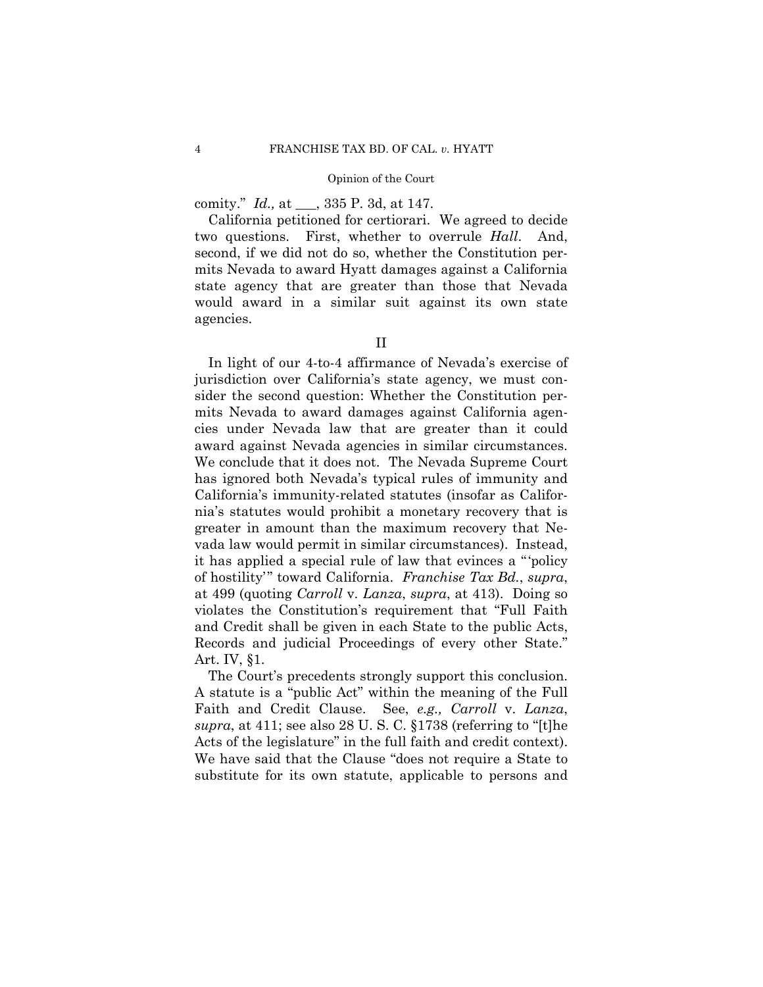comity." *Id.,* at \_\_\_, 335 P. 3d, at 147.

California petitioned for certiorari. We agreed to decide two questions. First, whether to overrule *Hall*. And, second, if we did not do so, whether the Constitution permits Nevada to award Hyatt damages against a California state agency that are greater than those that Nevada would award in a similar suit against its own state agencies.

In light of our 4-to-4 affirmance of Nevada's exercise of jurisdiction over California's state agency, we must consider the second question: Whether the Constitution permits Nevada to award damages against California agencies under Nevada law that are greater than it could award against Nevada agencies in similar circumstances. We conclude that it does not. The Nevada Supreme Court has ignored both Nevada's typical rules of immunity and California's immunity-related statutes (insofar as California's statutes would prohibit a monetary recovery that is greater in amount than the maximum recovery that Nevada law would permit in similar circumstances). Instead, it has applied a special rule of law that evinces a " 'policy of hostility'" toward California. *Franchise Tax Bd.*, *supra*, at 499 (quoting *Carroll* v. *Lanza*, *supra*, at 413). Doing so violates the Constitution's requirement that "Full Faith and Credit shall be given in each State to the public Acts, Records and judicial Proceedings of every other State." Art. IV, §1.

The Court's precedents strongly support this conclusion. A statute is a "public Act" within the meaning of the Full Faith and Credit Clause. See, *e.g., Carroll* v. *Lanza*, *supra*, at 411; see also 28 U. S. C. §1738 (referring to "[t]he Acts of the legislature" in the full faith and credit context). We have said that the Clause "does not require a State to substitute for its own statute, applicable to persons and

II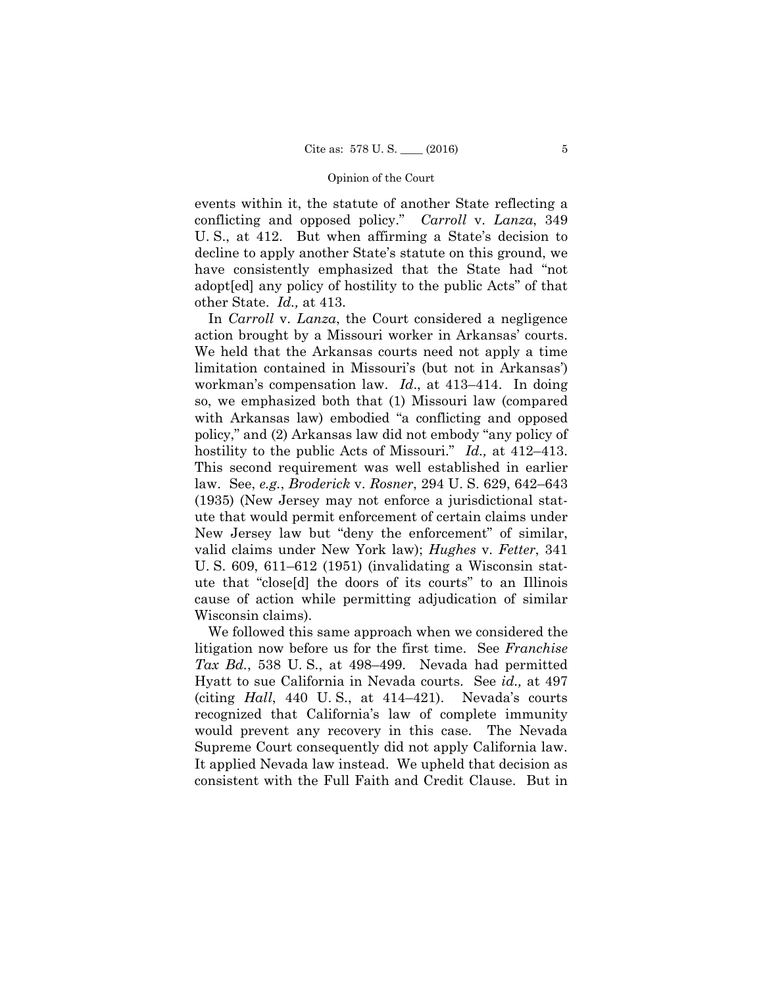other State. *Id.,* at 413. events within it, the statute of another State reflecting a conflicting and opposed policy." *Carroll* v. *Lanza*, 349 U. S., at 412. But when affirming a State's decision to decline to apply another State's statute on this ground, we have consistently emphasized that the State had "not adopt[ed] any policy of hostility to the public Acts" of that

 action brought by a Missouri worker in Arkansas' courts. hostility to the public Acts of Missouri." *Id.,* at 412–413. This second requirement was well established in earlier In *Carroll* v. *Lanza*, the Court considered a negligence We held that the Arkansas courts need not apply a time limitation contained in Missouri's (but not in Arkansas') workman's compensation law. *Id*., at 413–414. In doing so, we emphasized both that (1) Missouri law (compared with Arkansas law) embodied "a conflicting and opposed policy," and (2) Arkansas law did not embody "any policy of law. See, *e.g.*, *Broderick* v. *Rosner*, 294 U. S. 629, 642–643 (1935) (New Jersey may not enforce a jurisdictional statute that would permit enforcement of certain claims under New Jersey law but "deny the enforcement" of similar, valid claims under New York law); *Hughes* v. *Fetter*, 341 U. S. 609, 611–612 (1951) (invalidating a Wisconsin statute that "close[d] the doors of its courts" to an Illinois cause of action while permitting adjudication of similar Wisconsin claims).

We followed this same approach when we considered the litigation now before us for the first time. See *Franchise Tax Bd.*, 538 U. S., at 498–499. Nevada had permitted Hyatt to sue California in Nevada courts. See *id.,* at 497 (citing *Hall*, 440 U. S., at 414–421). Nevada's courts recognized that California's law of complete immunity would prevent any recovery in this case. The Nevada Supreme Court consequently did not apply California law. It applied Nevada law instead. We upheld that decision as consistent with the Full Faith and Credit Clause. But in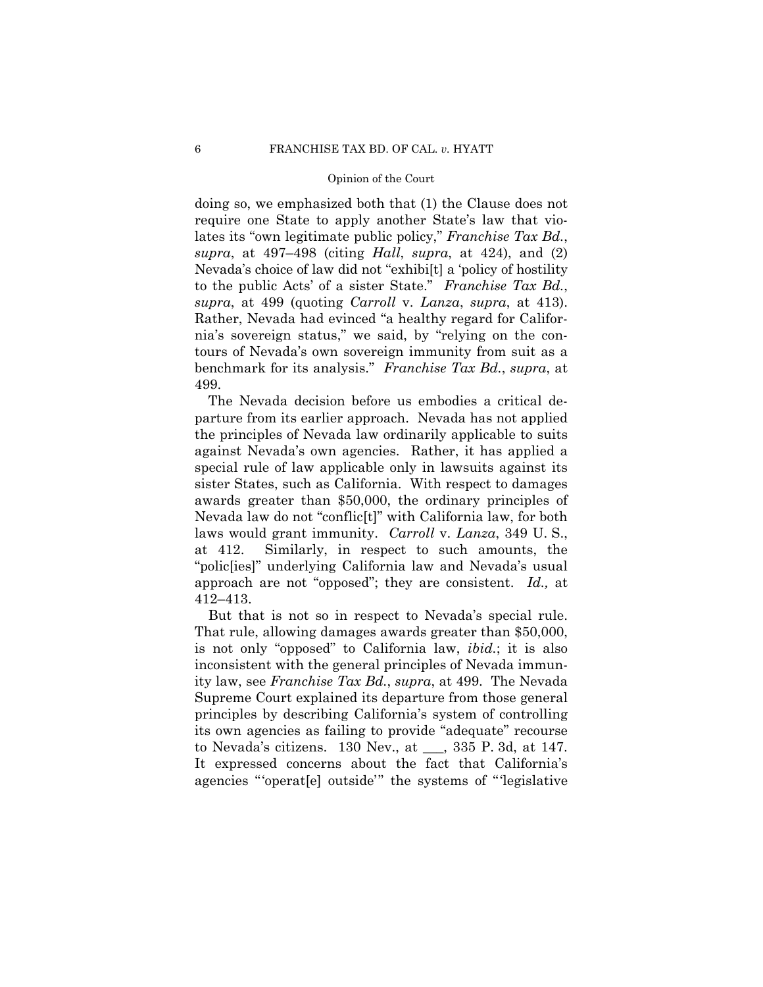doing so, we emphasized both that (1) the Clause does not require one State to apply another State's law that violates its "own legitimate public policy," *Franchise Tax Bd.*, *supra*, at 497–498 (citing *Hall*, *supra*, at 424), and (2) Nevada's choice of law did not "exhibi[t] a 'policy of hostility to the public Acts' of a sister State." *Franchise Tax Bd.*, *supra*, at 499 (quoting *Carroll* v. *Lanza*, *supra*, at 413). Rather, Nevada had evinced "a healthy regard for California's sovereign status," we said, by "relying on the contours of Nevada's own sovereign immunity from suit as a benchmark for its analysis." *Franchise Tax Bd.*, *supra*, at 499.

The Nevada decision before us embodies a critical departure from its earlier approach. Nevada has not applied the principles of Nevada law ordinarily applicable to suits against Nevada's own agencies. Rather, it has applied a special rule of law applicable only in lawsuits against its sister States, such as California. With respect to damages awards greater than \$50,000, the ordinary principles of Nevada law do not "conflic[t]" with California law, for both laws would grant immunity. *Carroll* v. *Lanza*, 349 U. S., at 412. Similarly, in respect to such amounts, the "polic[ies]" underlying California law and Nevada's usual approach are not "opposed"; they are consistent. *Id.,* at 412–413.

But that is not so in respect to Nevada's special rule. That rule, allowing damages awards greater than \$50,000, is not only "opposed" to California law, *ibid.*; it is also inconsistent with the general principles of Nevada immunity law, see *Franchise Tax Bd.*, *supra*, at 499. The Nevada Supreme Court explained its departure from those general principles by describing California's system of controlling its own agencies as failing to provide "adequate" recourse to Nevada's citizens. 130 Nev., at \_\_\_, 335 P. 3d, at 147. It expressed concerns about the fact that California's agencies "'operat[e] outside'" the systems of "'legislative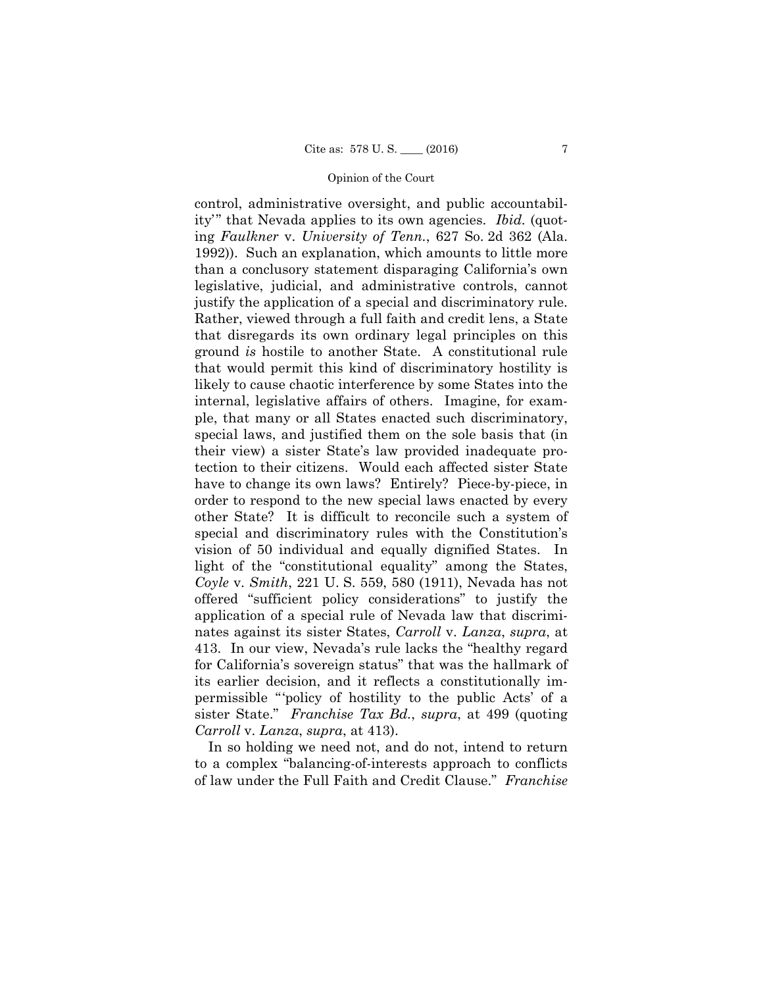justify the application of a special and discriminatory rule. control, administrative oversight, and public accountability'" that Nevada applies to its own agencies. *Ibid.* (quoting *Faulkner* v. *University of Tenn.*, 627 So. 2d 362 (Ala. 1992)). Such an explanation, which amounts to little more than a conclusory statement disparaging California's own legislative, judicial, and administrative controls, cannot Rather, viewed through a full faith and credit lens, a State that disregards its own ordinary legal principles on this ground *is* hostile to another State. A constitutional rule that would permit this kind of discriminatory hostility is likely to cause chaotic interference by some States into the internal, legislative affairs of others. Imagine, for example, that many or all States enacted such discriminatory, special laws, and justified them on the sole basis that (in their view) a sister State's law provided inadequate protection to their citizens. Would each affected sister State have to change its own laws? Entirely? Piece-by-piece, in order to respond to the new special laws enacted by every other State? It is difficult to reconcile such a system of special and discriminatory rules with the Constitution's vision of 50 individual and equally dignified States. In light of the "constitutional equality" among the States, *Coyle* v. *Smith*, 221 U. S. 559, 580 (1911), Nevada has not offered "sufficient policy considerations" to justify the application of a special rule of Nevada law that discriminates against its sister States, *Carroll* v. *Lanza*, *supra*, at 413. In our view, Nevada's rule lacks the "healthy regard for California's sovereign status" that was the hallmark of its earlier decision, and it reflects a constitutionally impermissible "'policy of hostility to the public Acts' of a sister State." *Franchise Tax Bd.*, *supra*, at 499 (quoting *Carroll* v. *Lanza*, *supra*, at 413).

In so holding we need not, and do not, intend to return to a complex "balancing-of-interests approach to conflicts of law under the Full Faith and Credit Clause." *Franchise*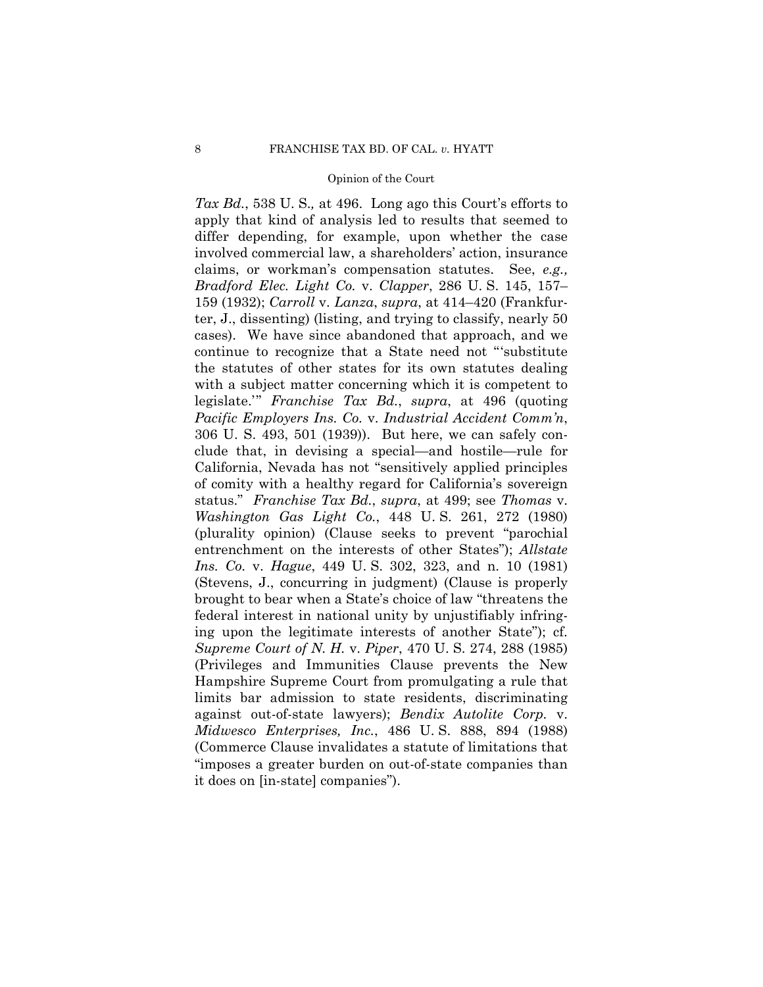*Tax Bd.*, 538 U. S.*,* at 496. Long ago this Court's efforts to apply that kind of analysis led to results that seemed to differ depending, for example, upon whether the case involved commercial law, a shareholders' action, insurance claims, or workman's compensation statutes. See, *e.g., Bradford Elec. Light Co.* v. *Clapper*, 286 U. S. 145, 157– 159 (1932); *Carroll* v. *Lanza*, *supra*, at 414–420 (Frankfurter, J., dissenting) (listing, and trying to classify, nearly 50 cases). We have since abandoned that approach, and we continue to recognize that a State need not "'substitute the statutes of other states for its own statutes dealing with a subject matter concerning which it is competent to legislate.'" *Franchise Tax Bd.*, *supra*, at 496 (quoting *Pacific Employers Ins. Co.* v. *Industrial Accident Comm'n*, 306 U. S. 493, 501 (1939)). But here, we can safely conclude that, in devising a special—and hostile—rule for California, Nevada has not "sensitively applied principles of comity with a healthy regard for California's sovereign status." *Franchise Tax Bd.*, *supra*, at 499; see *Thomas* v. *Washington Gas Light Co.*, 448 U. S. 261, 272 (1980) (plurality opinion) (Clause seeks to prevent "parochial entrenchment on the interests of other States"); *Allstate Ins. Co.* v. *Hague*, 449 U. S. 302, 323, and n. 10 (1981) (Stevens, J., concurring in judgment) (Clause is properly brought to bear when a State's choice of law "threatens the federal interest in national unity by unjustifiably infringing upon the legitimate interests of another State"); cf. *Supreme Court of N. H.* v. *Piper*, 470 U. S. 274, 288 (1985) (Privileges and Immunities Clause prevents the New Hampshire Supreme Court from promulgating a rule that limits bar admission to state residents, discriminating against out-of-state lawyers); *Bendix Autolite Corp.* v. *Midwesco Enterprises, Inc.*, 486 U. S. 888, 894 (1988) (Commerce Clause invalidates a statute of limitations that "imposes a greater burden on out-of-state companies than it does on [in-state] companies").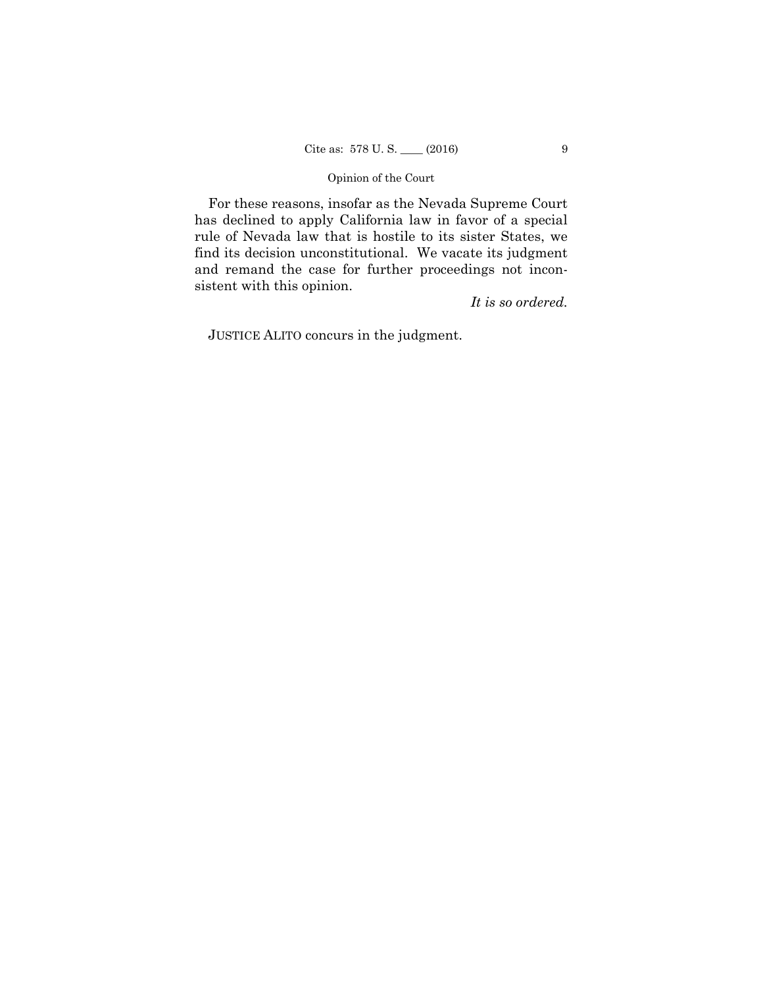For these reasons, insofar as the Nevada Supreme Court has declined to apply California law in favor of a special rule of Nevada law that is hostile to its sister States, we find its decision unconstitutional. We vacate its judgment and remand the case for further proceedings not inconsistent with this opinion.

*It is so ordered.*

JUSTICE ALITO concurs in the judgment.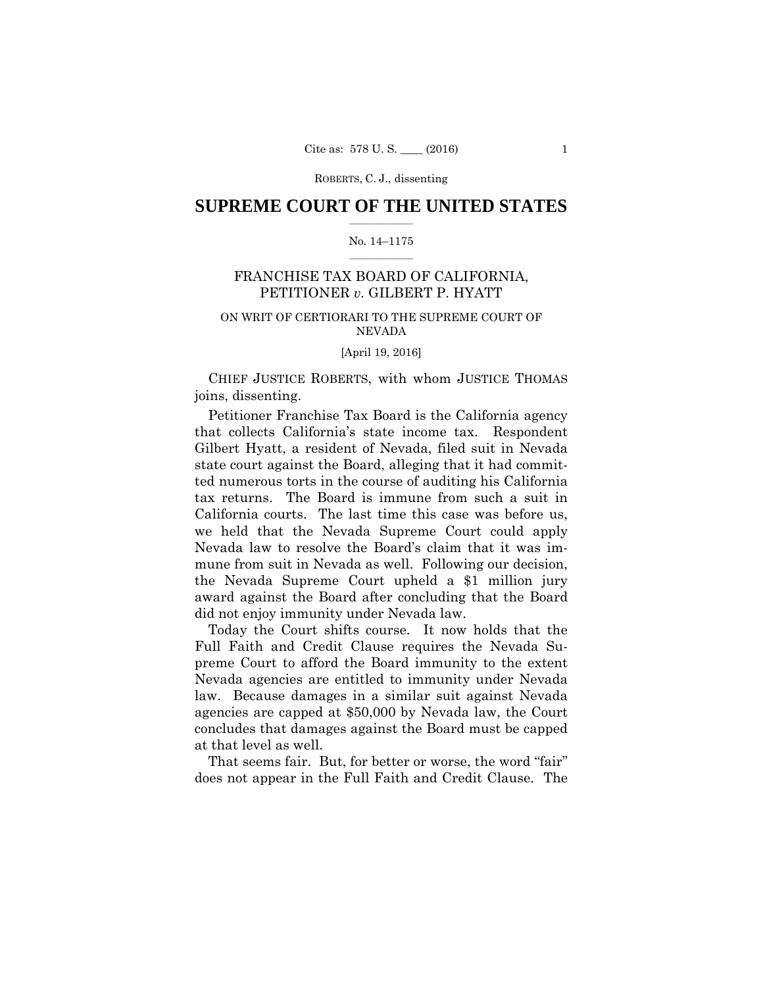## $\frac{1}{2}$  ,  $\frac{1}{2}$  ,  $\frac{1}{2}$  ,  $\frac{1}{2}$  ,  $\frac{1}{2}$  ,  $\frac{1}{2}$  ,  $\frac{1}{2}$ **SUPREME COURT OF THE UNITED STATES**

## $\frac{1}{2}$  ,  $\frac{1}{2}$  ,  $\frac{1}{2}$  ,  $\frac{1}{2}$  ,  $\frac{1}{2}$  ,  $\frac{1}{2}$ No. 14–1175

## FRANCHISE TAX BOARD OF CALIFORNIA, PETITIONER *v.* GILBERT P. HYATT

## ON WRIT OF CERTIORARI TO THE SUPREME COURT OF NEVADA

#### [April 19, 2016]

CHIEF JUSTICE ROBERTS, with whom JUSTICE THOMAS joins, dissenting.

Petitioner Franchise Tax Board is the California agency that collects California's state income tax. Respondent Gilbert Hyatt, a resident of Nevada, filed suit in Nevada state court against the Board, alleging that it had committed numerous torts in the course of auditing his California tax returns. The Board is immune from such a suit in California courts. The last time this case was before us, we held that the Nevada Supreme Court could apply Nevada law to resolve the Board's claim that it was immune from suit in Nevada as well. Following our decision, the Nevada Supreme Court upheld a \$1 million jury award against the Board after concluding that the Board did not enjoy immunity under Nevada law.

Today the Court shifts course. It now holds that the Full Faith and Credit Clause requires the Nevada Supreme Court to afford the Board immunity to the extent Nevada agencies are entitled to immunity under Nevada law. Because damages in a similar suit against Nevada agencies are capped at \$50,000 by Nevada law, the Court concludes that damages against the Board must be capped at that level as well.

That seems fair. But, for better or worse, the word "fair" does not appear in the Full Faith and Credit Clause. The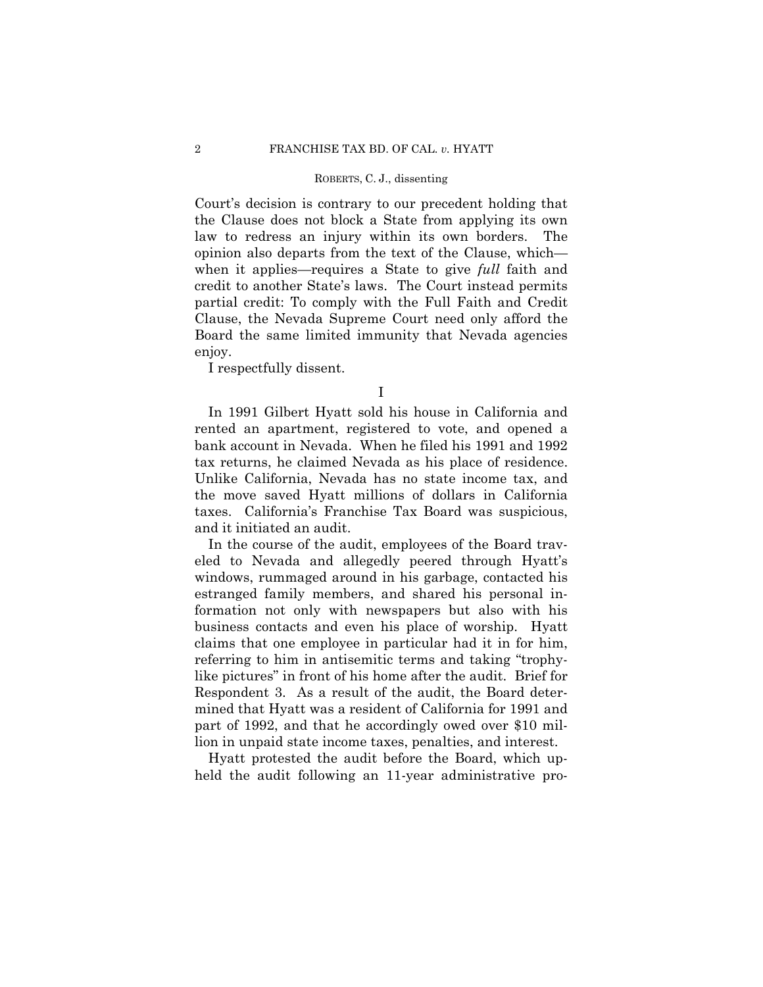Court's decision is contrary to our precedent holding that the Clause does not block a State from applying its own law to redress an injury within its own borders. The opinion also departs from the text of the Clause, which when it applies—requires a State to give *full* faith and credit to another State's laws. The Court instead permits partial credit: To comply with the Full Faith and Credit Clause, the Nevada Supreme Court need only afford the Board the same limited immunity that Nevada agencies enjoy.

I respectfully dissent.

I

 tax returns, he claimed Nevada as his place of residence. In 1991 Gilbert Hyatt sold his house in California and rented an apartment, registered to vote, and opened a bank account in Nevada. When he filed his 1991 and 1992 Unlike California, Nevada has no state income tax, and the move saved Hyatt millions of dollars in California taxes. California's Franchise Tax Board was suspicious, and it initiated an audit.

In the course of the audit, employees of the Board traveled to Nevada and allegedly peered through Hyatt's windows, rummaged around in his garbage, contacted his estranged family members, and shared his personal information not only with newspapers but also with his business contacts and even his place of worship. Hyatt claims that one employee in particular had it in for him, referring to him in antisemitic terms and taking "trophylike pictures" in front of his home after the audit. Brief for Respondent 3. As a result of the audit, the Board determined that Hyatt was a resident of California for 1991 and part of 1992, and that he accordingly owed over \$10 million in unpaid state income taxes, penalties, and interest.

Hyatt protested the audit before the Board, which upheld the audit following an 11-year administrative pro-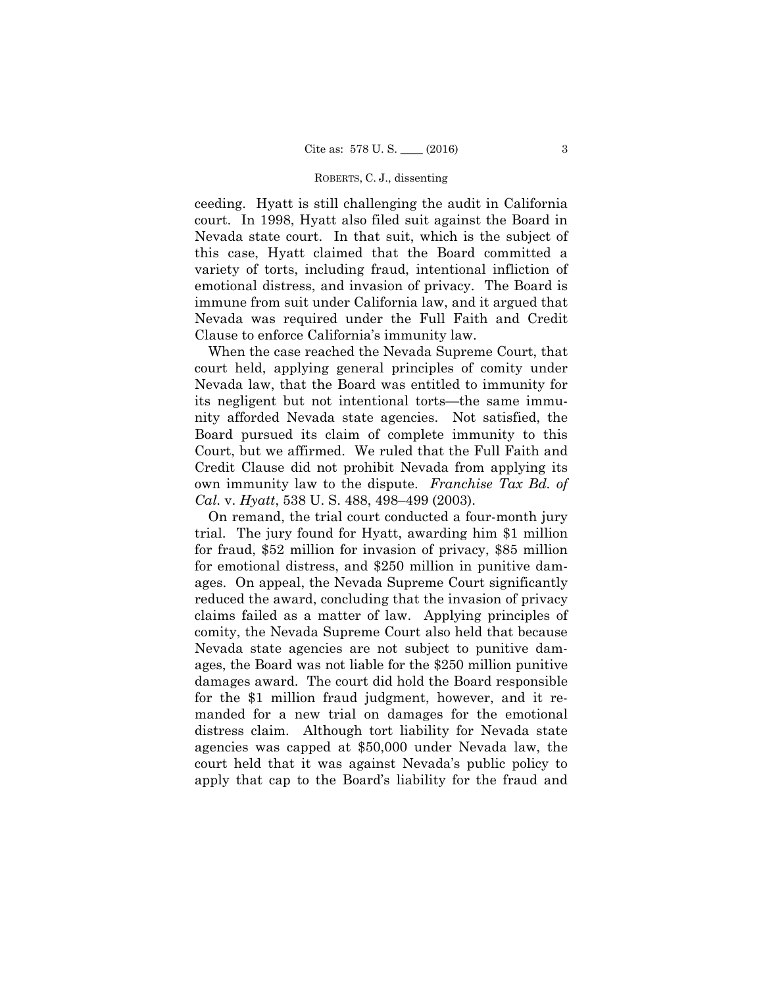ceeding. Hyatt is still challenging the audit in California court. In 1998, Hyatt also filed suit against the Board in Nevada state court. In that suit, which is the subject of this case, Hyatt claimed that the Board committed a variety of torts, including fraud, intentional infliction of emotional distress, and invasion of privacy. The Board is immune from suit under California law, and it argued that Nevada was required under the Full Faith and Credit Clause to enforce California's immunity law.

When the case reached the Nevada Supreme Court, that court held, applying general principles of comity under Nevada law, that the Board was entitled to immunity for its negligent but not intentional torts—the same immunity afforded Nevada state agencies. Not satisfied, the Board pursued its claim of complete immunity to this Court, but we affirmed. We ruled that the Full Faith and Credit Clause did not prohibit Nevada from applying its own immunity law to the dispute. *Franchise Tax Bd. of Cal.* v. *Hyatt*, 538 U. S. 488, 498–499 (2003).

On remand, the trial court conducted a four-month jury trial. The jury found for Hyatt, awarding him \$1 million for fraud, \$52 million for invasion of privacy, \$85 million for emotional distress, and \$250 million in punitive damages. On appeal, the Nevada Supreme Court significantly reduced the award, concluding that the invasion of privacy claims failed as a matter of law. Applying principles of comity, the Nevada Supreme Court also held that because Nevada state agencies are not subject to punitive damages, the Board was not liable for the \$250 million punitive damages award. The court did hold the Board responsible for the \$1 million fraud judgment, however, and it remanded for a new trial on damages for the emotional distress claim. Although tort liability for Nevada state agencies was capped at \$50,000 under Nevada law, the court held that it was against Nevada's public policy to apply that cap to the Board's liability for the fraud and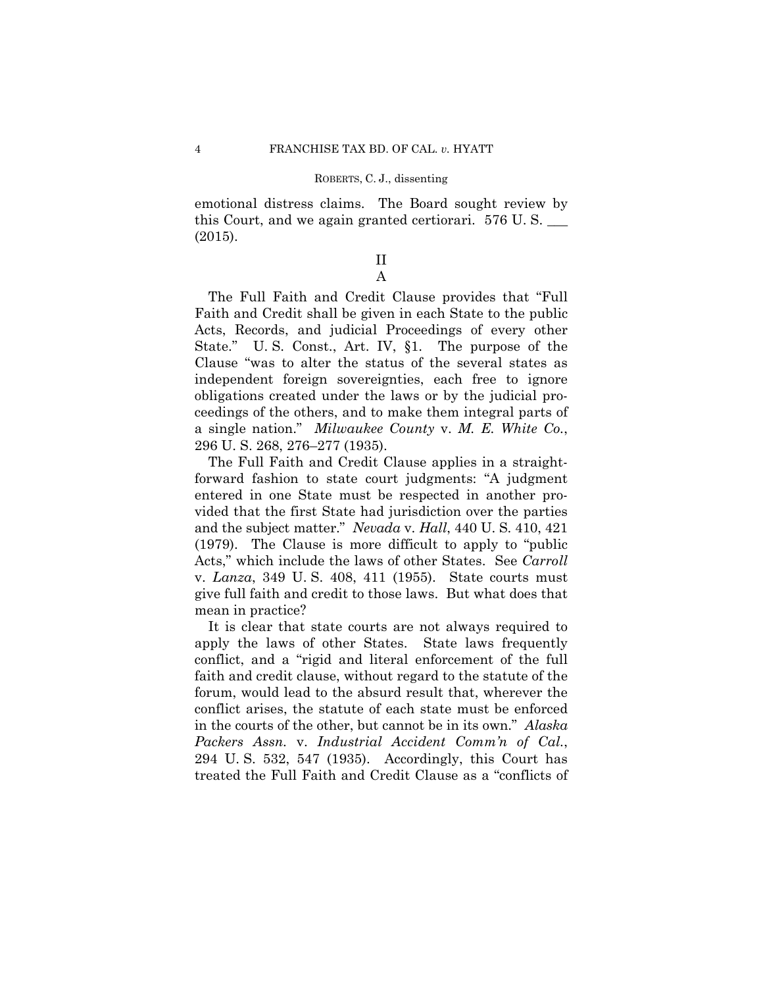emotional distress claims. The Board sought review by this Court, and we again granted certiorari. 576 U. S. \_\_\_ (2015).

## II A

The Full Faith and Credit Clause provides that "Full Faith and Credit shall be given in each State to the public Acts, Records, and judicial Proceedings of every other State." U. S. Const., Art. IV, §1. The purpose of the Clause "was to alter the status of the several states as independent foreign sovereignties, each free to ignore obligations created under the laws or by the judicial proceedings of the others, and to make them integral parts of a single nation." *Milwaukee County* v. *M. E. White Co.*, 296 U. S. 268, 276–277 (1935).

 and the subject matter." *Nevada* v. *Hall*, 440 U. S. 410, 421 The Full Faith and Credit Clause applies in a straightforward fashion to state court judgments: "A judgment entered in one State must be respected in another provided that the first State had jurisdiction over the parties (1979). The Clause is more difficult to apply to "public Acts," which include the laws of other States. See *Carroll*  v. *Lanza*, 349 U. S. 408, 411 (1955). State courts must give full faith and credit to those laws. But what does that mean in practice?

It is clear that state courts are not always required to apply the laws of other States. State laws frequently conflict, and a "rigid and literal enforcement of the full faith and credit clause, without regard to the statute of the forum, would lead to the absurd result that, wherever the conflict arises, the statute of each state must be enforced in the courts of the other, but cannot be in its own." *Alaska Packers Assn.* v. *Industrial Accident Comm'n of Cal.*, 294 U. S. 532, 547 (1935). Accordingly, this Court has treated the Full Faith and Credit Clause as a "conflicts of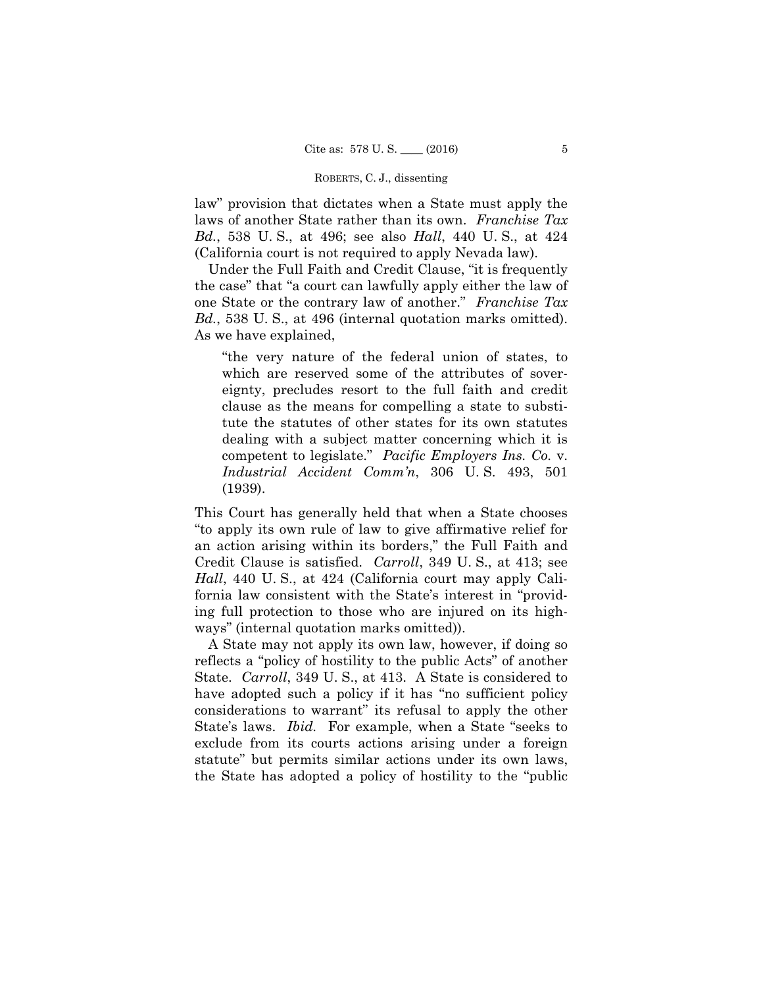law" provision that dictates when a State must apply the laws of another State rather than its own. *Franchise Tax Bd.*, 538 U. S., at 496; see also *Hall*, 440 U. S., at 424 (California court is not required to apply Nevada law).

 Under the Full Faith and Credit Clause, "it is frequently the case" that "a court can lawfully apply either the law of one State or the contrary law of another." *Franchise Tax Bd.*, 538 U. S., at 496 (internal quotation marks omitted). As we have explained,

"the very nature of the federal union of states, to which are reserved some of the attributes of sovereignty, precludes resort to the full faith and credit clause as the means for compelling a state to substitute the statutes of other states for its own statutes dealing with a subject matter concerning which it is competent to legislate." *Pacific Employers Ins. Co.* v. *Industrial Accident Comm'n*, 306 U. S. 493, 501 (1939).

This Court has generally held that when a State chooses "to apply its own rule of law to give affirmative relief for an action arising within its borders," the Full Faith and Credit Clause is satisfied. *Carroll*, 349 U. S., at 413; see *Hall*, 440 U. S., at 424 (California court may apply California law consistent with the State's interest in "providing full protection to those who are injured on its highways" (internal quotation marks omitted)).

A State may not apply its own law, however, if doing so reflects a "policy of hostility to the public Acts" of another State. *Carroll*, 349 U. S., at 413. A State is considered to have adopted such a policy if it has "no sufficient policy considerations to warrant" its refusal to apply the other State's laws. *Ibid.* For example, when a State "seeks to exclude from its courts actions arising under a foreign statute" but permits similar actions under its own laws, the State has adopted a policy of hostility to the "public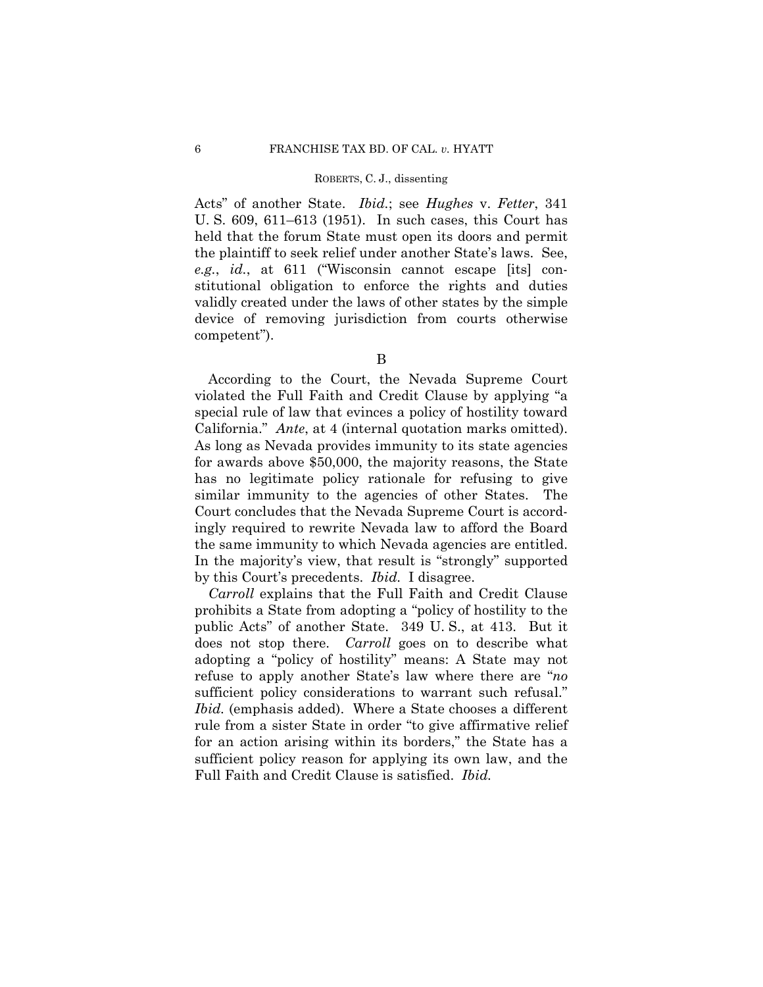Acts" of another State. *Ibid.*; see *Hughes* v. *Fetter*, 341 U. S. 609, 611–613 (1951). In such cases, this Court has held that the forum State must open its doors and permit the plaintiff to seek relief under another State's laws. See, *e.g.*, *id.*, at 611 ("Wisconsin cannot escape [its] constitutional obligation to enforce the rights and duties validly created under the laws of other states by the simple device of removing jurisdiction from courts otherwise competent").

B

According to the Court, the Nevada Supreme Court violated the Full Faith and Credit Clause by applying "a special rule of law that evinces a policy of hostility toward California." *Ante*, at 4 (internal quotation marks omitted). As long as Nevada provides immunity to its state agencies for awards above \$50,000, the majority reasons, the State has no legitimate policy rationale for refusing to give similar immunity to the agencies of other States. The Court concludes that the Nevada Supreme Court is accordingly required to rewrite Nevada law to afford the Board the same immunity to which Nevada agencies are entitled. In the majority's view, that result is "strongly" supported by this Court's precedents. *Ibid.* I disagree.

Ibid. (emphasis added). Where a State chooses a different *Carroll* explains that the Full Faith and Credit Clause prohibits a State from adopting a "policy of hostility to the public Acts" of another State. 349 U. S., at 413. But it does not stop there. *Carroll* goes on to describe what adopting a "policy of hostility" means: A State may not refuse to apply another State's law where there are "*no*  sufficient policy considerations to warrant such refusal." rule from a sister State in order "to give affirmative relief for an action arising within its borders," the State has a sufficient policy reason for applying its own law, and the Full Faith and Credit Clause is satisfied. *Ibid.*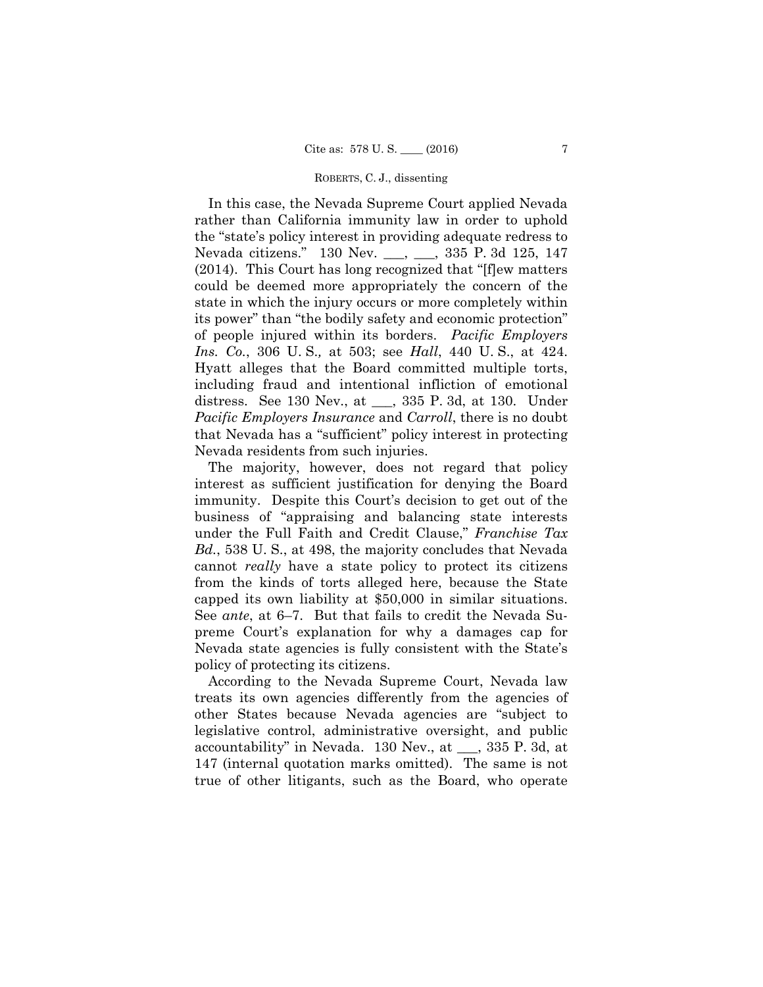In this case, the Nevada Supreme Court applied Nevada rather than California immunity law in order to uphold the "state's policy interest in providing adequate redress to Nevada citizens." 130 Nev. \_\_\_, \_\_\_, 335 P. 3d 125, 147 (2014). This Court has long recognized that "[f]ew matters could be deemed more appropriately the concern of the state in which the injury occurs or more completely within its power" than "the bodily safety and economic protection" of people injured within its borders. *Pacific Employers Ins. Co.*, 306 U. S.*,* at 503; see *Hall*, 440 U. S., at 424. Hyatt alleges that the Board committed multiple torts, including fraud and intentional infliction of emotional distress. See 130 Nev., at \_\_\_, 335 P. 3d, at 130. Under *Pacific Employers Insurance* and *Carroll*, there is no doubt that Nevada has a "sufficient" policy interest in protecting Nevada residents from such injuries.

The majority, however, does not regard that policy interest as sufficient justification for denying the Board immunity. Despite this Court's decision to get out of the business of "appraising and balancing state interests under the Full Faith and Credit Clause," *Franchise Tax Bd.*, 538 U. S., at 498, the majority concludes that Nevada cannot *really* have a state policy to protect its citizens from the kinds of torts alleged here, because the State capped its own liability at \$50,000 in similar situations. See *ante*, at 6–7. But that fails to credit the Nevada Supreme Court's explanation for why a damages cap for Nevada state agencies is fully consistent with the State's policy of protecting its citizens.

According to the Nevada Supreme Court, Nevada law treats its own agencies differently from the agencies of other States because Nevada agencies are "subject to legislative control, administrative oversight, and public accountability" in Nevada. 130 Nev., at \_\_\_, 335 P. 3d, at 147 (internal quotation marks omitted). The same is not true of other litigants, such as the Board, who operate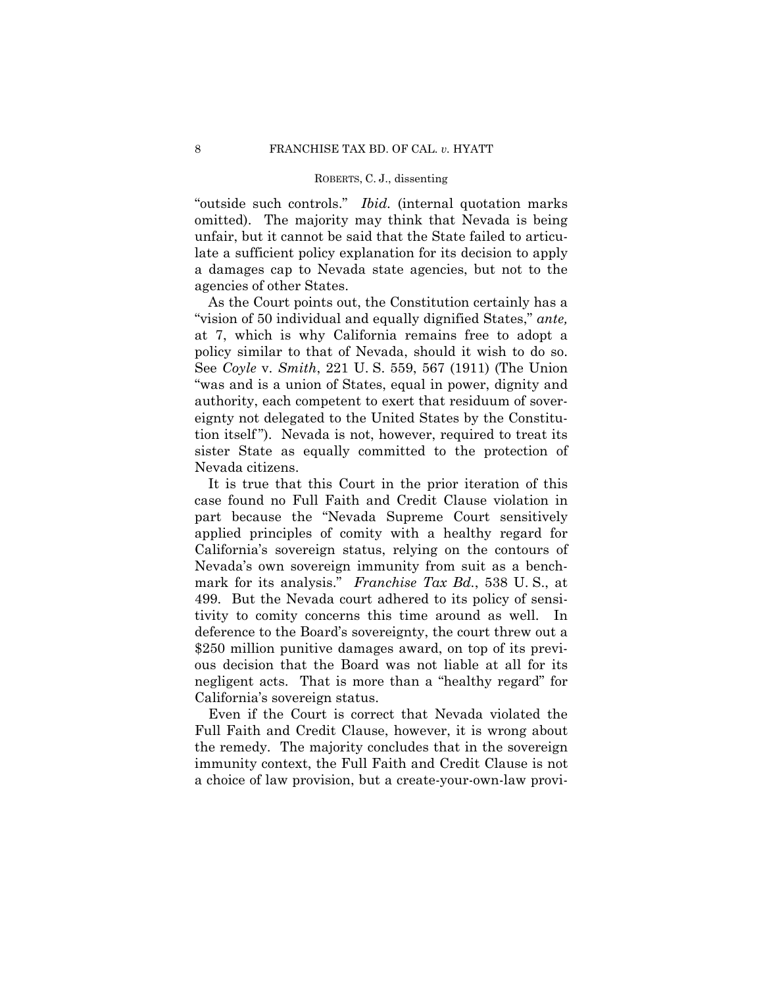omitted). The majority may think that Nevada is being "outside such controls." *Ibid.* (internal quotation marks unfair, but it cannot be said that the State failed to articulate a sufficient policy explanation for its decision to apply a damages cap to Nevada state agencies, but not to the agencies of other States.

As the Court points out, the Constitution certainly has a "vision of 50 individual and equally dignified States," *ante,*  at 7, which is why California remains free to adopt a policy similar to that of Nevada, should it wish to do so. See *Coyle* v. *Smith*, 221 U. S. 559, 567 (1911) (The Union "was and is a union of States, equal in power, dignity and authority, each competent to exert that residuum of sovereignty not delegated to the United States by the Constitution itself "). Nevada is not, however, required to treat its sister State as equally committed to the protection of Nevada citizens.

 tivity to comity concerns this time around as well. In It is true that this Court in the prior iteration of this case found no Full Faith and Credit Clause violation in part because the "Nevada Supreme Court sensitively applied principles of comity with a healthy regard for California's sovereign status, relying on the contours of Nevada's own sovereign immunity from suit as a benchmark for its analysis." *Franchise Tax Bd.*, 538 U. S., at 499. But the Nevada court adhered to its policy of sensideference to the Board's sovereignty, the court threw out a \$250 million punitive damages award, on top of its previous decision that the Board was not liable at all for its negligent acts. That is more than a "healthy regard" for California's sovereign status.

Even if the Court is correct that Nevada violated the Full Faith and Credit Clause, however, it is wrong about the remedy. The majority concludes that in the sovereign immunity context, the Full Faith and Credit Clause is not a choice of law provision, but a create-your-own-law provi-